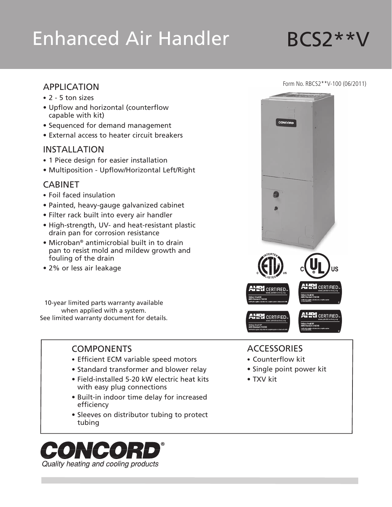# Enhanced Air Handler BCS2\*\*V

# APPLICATION

- 2 5 ton sizes
- • Upflow and horizontal (counterflow capable with kit)
- • Sequenced for demand management
- External access to heater circuit breakers

#### INSTALLATION

- 1 Piece design for easier installation
- • Multiposition Upflow/Horizontal Left/Right

# CABINET

- • Foil faced insulation
- • Painted, heavy-gauge galvanized cabinet
- Filter rack built into every air handler
- High-strength, UV- and heat-resistant plastic drain pan for corrosion resistance
- Microban<sup>®</sup> antimicrobial built in to drain pan to resist mold and mildew growth and fouling of the drain
- 2% or less air leakage

10-year limited parts warranty available when applied with a system. See limited warranty document for details.

# **COMPONENTS**

- Efficient ECM variable speed motors
- Standard transformer and blower relay
- Field-installed 5-20 kW electric heat kits with easy plug connections
- • Built-in indoor time delay for increased efficiency
- Sleeves on distributor tubing to protect tubing





#### **ACCESSORIES**

- • Counterflow kit
- Single point power kit
- • TXV kit

#### Form No. RBCS2\*\*V-100 (06/2011)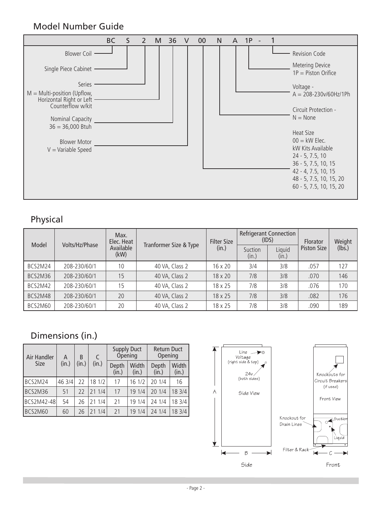# Model Number Guide



# Physical

| Model   | Volts/Hz/Phase | Max.<br>Elec. Heat |                        | <b>Filter Size</b> |                  | <b>Refrigerant Connection</b><br>(IDS) | <b>Florator</b><br>Piston Size | Weight |
|---------|----------------|--------------------|------------------------|--------------------|------------------|----------------------------------------|--------------------------------|--------|
|         |                | Available<br>(kW)  | Tranformer Size & Type | (in.)              | Suction<br>(in.) | Liquid<br>(in.)                        |                                | (lbs.) |
| BCS2M24 | 208-230/60/1   | 10                 | 40 VA, Class 2         | $16 \times 20$     | 3/4              | 3/8                                    | .057                           | 127    |
| BCS2M36 | 208-230/60/1   | 15                 | 40 VA, Class 2         | 18 x 20            | 7/8              | 3/8                                    | .070                           | 146    |
| BCS2M42 | 208-230/60/1   | 15                 | 40 VA, Class 2         | 18 x 25            | 7/8              | 3/8                                    | .076                           | 170    |
| BCS2M48 | 208-230/60/1   | 20                 | 40 VA, Class 2         | 18 x 25            | 7/8              | 3/8                                    | .082                           | 176    |
| BCS2M60 | 208-230/60/1   | 20                 | 40 VA, Class 2         | 18 x 25            | 7/8              | 3/8                                    | .090                           | 189    |

# Dimensions (in.)

| Air Handler | A      | B     | C      |                | <b>Supply Duct</b><br>Opening | <b>Return Duct</b><br>Opening |                |  |
|-------------|--------|-------|--------|----------------|-------------------------------|-------------------------------|----------------|--|
| <b>Size</b> | (in.)  | (in.) | (in.)  | Depth<br>(in.) | Width<br>(in.)                | Depth<br>(in.)                | Width<br>(in.) |  |
| BCS2M24     | 46 3/4 | 22    | 18 1/2 | 17             | 16 1/2                        | 20 1/4                        | 16             |  |
| BCS2M36     | 51     | 22    | 21 1/4 | 17             | 19 1/4                        | 20 1/4                        | 18 3/4         |  |
| BCS2M42-48  | 54     | 26    | 21 1/4 | 21             | 19 1/4                        | 24 1/4                        | 18 3/4         |  |
| BCS2M60     | 60     | 26    | 21 1/4 | 21             | 19 1/4                        | 24 1/4                        | 18 3/4         |  |

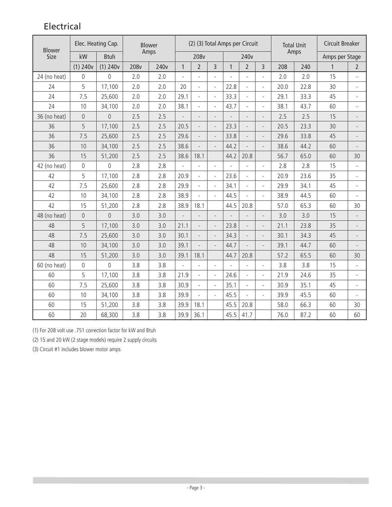# Electrical

| <b>Blower</b> |                     | Elec. Heating Cap. | <b>Blower</b> | (2) (3) Total Amps per Circuit |              |                          |                          |                | <b>Total Unit</b><br>Amps |                          | <b>Circuit Breaker</b> |      |                |                          |
|---------------|---------------------|--------------------|---------------|--------------------------------|--------------|--------------------------|--------------------------|----------------|---------------------------|--------------------------|------------------------|------|----------------|--------------------------|
| Size          | kW                  | <b>Btuh</b>        |               | Amps                           |              | 208v                     |                          |                | 240v                      |                          |                        |      | Amps per Stage |                          |
|               | $(1)$ 240 $v$       | $(1)$ 240 $v$      | 208v          | 240 <sub>v</sub>               | $\mathbf{1}$ | $\overline{2}$           | $\overline{3}$           | $\mathbf{1}$   | $\overline{2}$            | 3                        | 208                    | 240  | $\mathbf{1}$   | $\overline{2}$           |
| 24 (no heat)  | $\mathsf{O}\xspace$ | $\overline{0}$     | 2.0           | 2.0                            |              |                          |                          |                | $\overline{\phantom{a}}$  |                          | 2.0                    | 2.0  | 15             |                          |
| 24            | 5                   | 17,100             | 2.0           | 2.0                            | 20           | $\overline{a}$           | $\overline{\phantom{a}}$ | 22.8           | $\overline{\phantom{a}}$  | $\overline{a}$           | 20.0                   | 22.8 | 30             |                          |
| 24            | 7.5                 | 25,600             | 2.0           | 2.0                            | 29.1         | $\blacksquare$           | $\overline{\phantom{a}}$ | 33.3           | $\overline{\phantom{a}}$  | $\overline{a}$           | 29.1                   | 33.3 | 45             | $\overline{\phantom{a}}$ |
| 24            | 10                  | 34,100             | 2.0           | 2.0                            | 38.1         |                          |                          | 43.7           | $\overline{a}$            | $\overline{a}$           | 38.1                   | 43.7 | 60             |                          |
| 36 (no heat)  | $\overline{0}$      | $\overline{0}$     | 2.5           | 2.5                            |              | $\overline{a}$           | $\overline{a}$           |                | $\overline{a}$            |                          | 2.5                    | 2.5  | 15             |                          |
| 36            | 5                   | 17,100             | 2.5           | 2.5                            | 20.5         |                          | $\overline{\phantom{m}}$ | 23.3           | $\overline{a}$            |                          | 20.5                   | 23.3 | 30             |                          |
| 36            | 7.5                 | 25,600             | 2.5           | 2.5                            | 29.6         | $\overline{a}$           | $\overline{\phantom{m}}$ | 33.8           | $\overline{\phantom{a}}$  |                          | 29.6                   | 33.8 | 45             |                          |
| 36            | 10                  | 34,100             | 2.5           | 2.5                            | 38.6         |                          |                          | 44.2           | $\overline{a}$            | $\overline{a}$           | 38.6                   | 44.2 | 60             |                          |
| 36            | 15                  | 51,200             | 2.5           | 2.5                            | 38.6         | 18.1                     |                          | 44.2           | 20.8                      |                          | 56.7                   | 65.0 | 60             | 30                       |
| 42 (no heat)  | $\overline{0}$      | $\overline{0}$     | 2.8           | 2.8                            |              | $\overline{a}$           | $\overline{\phantom{a}}$ | $\overline{a}$ | $\overline{a}$            | $\overline{a}$           | 2.8                    | 2.8  | 15             | $\overline{a}$           |
| 42            | 5                   | 17,100             | 2.8           | 2.8                            | 20.9         | $\overline{a}$           | $\overline{\phantom{a}}$ | 23.6           | $\overline{\phantom{a}}$  |                          | 20.9                   | 23.6 | 35             |                          |
| 42            | 7.5                 | 25,600             | 2.8           | 2.8                            | 29.9         | $\overline{\phantom{0}}$ | $\overline{\phantom{a}}$ | 34.1           | $\overline{\phantom{a}}$  | $\overline{a}$           | 29.9                   | 34.1 | 45             |                          |
| 42            | 10                  | 34,100             | 2.8           | 2.8                            | 38.9         | $\overline{a}$           | $\overline{\phantom{a}}$ | 44.5           | $\overline{a}$            | $\overline{a}$           | 38.9                   | 44.5 | 60             | $\overline{a}$           |
| 42            | 15                  | 51,200             | 2.8           | 2.8                            | 38.9         | 18.1                     |                          | 44.5           | 20.8                      |                          | 57.0                   | 65.3 | 60             | 30                       |
| 48 (no heat)  | $\overline{0}$      | $\Omega$           | 3.0           | 3.0                            |              |                          |                          |                | $\overline{a}$            |                          | 3.0                    | 3.0  | 15             |                          |
| 48            | 5                   | 17,100             | 3.0           | 3.0                            | 21.1         |                          | $\overline{\phantom{0}}$ | 23.8           | $\overline{a}$            |                          | 21.1                   | 23.8 | 35             |                          |
| 48            | 7.5                 | 25,600             | 3.0           | 3.0                            | 30.1         | $\overline{a}$           | $\overline{\phantom{0}}$ | 34.3           | $\overline{\phantom{0}}$  | $\overline{a}$           | 30.1                   | 34.3 | 45             |                          |
| 48            | 10                  | 34,100             | 3.0           | 3.0                            | 39.1         |                          |                          | 44.7           | $\overline{a}$            |                          | 39.1                   | 44.7 | 60             |                          |
| 48            | 15                  | 51,200             | 3.0           | 3.0                            | 39.1         | 18.1                     |                          | 44.7           | 20.8                      |                          | 57.2                   | 65.5 | 60             | 30                       |
| 60 (no heat)  | $\mathsf{O}\xspace$ | $\overline{0}$     | 3.8           | 3.8                            |              | $\overline{a}$           | $\frac{1}{2}$            | $\overline{a}$ | $\overline{\phantom{0}}$  | $\overline{a}$           | 3.8                    | 3.8  | 15             | $\overline{a}$           |
| 60            | 5                   | 17,100             | 3.8           | 3.8                            | 21.9         | $\bar{\phantom{a}}$      | $\overline{\phantom{a}}$ | 24.6           | $\overline{\phantom{a}}$  | $\overline{a}$           | 21.9                   | 24.6 | 35             | $\overline{a}$           |
| 60            | 7.5                 | 25,600             | 3.8           | 3.8                            | 30.9         | $\overline{\phantom{a}}$ | $\overline{\phantom{a}}$ | 35.1           | $\bar{\phantom{a}}$       | $\overline{a}$           | 30.9                   | 35.1 | 45             |                          |
| 60            | 10                  | 34,100             | 3.8           | 3.8                            | 39.9         | $\overline{a}$           | $\overline{\phantom{a}}$ | 45.5           | $\overline{\phantom{a}}$  | $\overline{\phantom{a}}$ | 39.9                   | 45.5 | 60             |                          |
| 60            | 15                  | 51,200             | 3.8           | 3.8                            | 39.9         | 18.1                     |                          | 45.5           | 20.8                      |                          | 58.0                   | 66.3 | 60             | 30                       |
| 60            | 20                  | 68,300             | 3.8           | 3.8                            | 39.9         | 36.1                     |                          | 45.5           | 41.7                      |                          | 76.0                   | 87.2 | 60             | 60                       |

(1) For 208 volt use .751 correction factor for kW and Btuh

(2) 15 and 20 kW (2 stage models) require 2 supply circuits

(3) Circuit #1 includes blower motor amps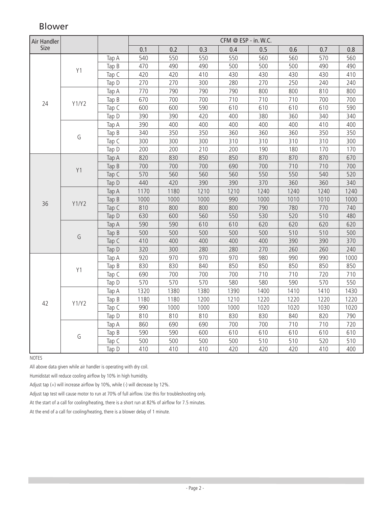| Air Handler |       |         | CFM @ ESP - in. W.C. |      |      |      |      |      |      |      |  |
|-------------|-------|---------|----------------------|------|------|------|------|------|------|------|--|
| Size        |       |         | 0.1                  | 0.2  | 0.3  | 0.4  | 0.5  | 0.6  | 0.7  | 0.8  |  |
|             |       | Tap A   | 540                  | 550  | 550  | 550  | 560  | 560  | 570  | 560  |  |
|             | Y1    | Tap B   | 470                  | 490  | 490  | 500  | 500  | 500  | 490  | 490  |  |
|             |       | Tap C   | 420                  | 420  | 410  | 430  | 430  | 430  | 430  | 410  |  |
|             |       | Tap D   | 270                  | 270  | 300  | 280  | 270  | 250  | 240  | 240  |  |
|             |       | Tap A   | 770                  | 790  | 790  | 790  | 800  | 800  | 810  | 800  |  |
|             |       | Tap B   | 670                  | 700  | 700  | 710  | 710  | 710  | 700  | 700  |  |
| 24          | Y1/Y2 | Tap C   | 600                  | 600  | 590  | 610  | 610  | 610  | 610  | 590  |  |
|             |       | Tap D   | 390                  | 390  | 420  | 400  | 380  | 360  | 340  | 340  |  |
|             |       | Tap A   | 390                  | 400  | 400  | 400  | 400  | 400  | 410  | 400  |  |
|             |       | Tap $B$ | 340                  | 350  | 350  | 360  | 360  | 360  | 350  | 350  |  |
|             | G     | Tap C   | 300                  | 300  | 300  | 310  | 310  | 310  | 310  | 300  |  |
|             |       | Tap D   | 200                  | 200  | 210  | 200  | 190  | 180  | 170  | 170  |  |
|             |       | Tap A   | 820                  | 830  | 850  | 850  | 870  | 870  | 870  | 670  |  |
|             |       | Tap $B$ | 700                  | 700  | 700  | 690  | 700  | 710  | 710  | 700  |  |
|             | Y1    | Tap C   | 570                  | 560  | 560  | 560  | 550  | 550  | 540  | 520  |  |
|             |       | Tap D   | 440                  | 420  | 390  | 390  | 370  | 360  | 360  | 340  |  |
|             | Y1/Y2 | Tap A   | 1170                 | 1180 | 1210 | 1210 | 1240 | 1240 | 1240 | 1240 |  |
|             |       | Tap $B$ | 1000                 | 1000 | 1000 | 990  | 1000 | 1010 | 1010 | 1000 |  |
| 36          |       | Tap C   | 810                  | 800  | 800  | 800  | 790  | 780  | 770  | 740  |  |
|             |       | Tap D   | 630                  | 600  | 560  | 550  | 530  | 520  | 510  | 480  |  |
|             |       | Tap A   | 590                  | 590  | 610  | 610  | 620  | 620  | 620  | 620  |  |
|             |       | Tap $B$ | 500                  | 500  | 500  | 500  | 500  | 510  | 510  | 500  |  |
|             | G     | Tap C   | 410                  | 400  | 400  | 400  | 400  | 390  | 390  | 370  |  |
|             |       | Tap D   | 320                  | 300  | 280  | 280  | 270  | 260  | 260  | 240  |  |
|             |       | Tap A   | 920                  | 970  | 970  | 970  | 980  | 990  | 990  | 1000 |  |
|             |       | Tap B   | 830                  | 830  | 840  | 850  | 850  | 850  | 850  | 850  |  |
|             | Y1    | Tap C   | 690                  | 700  | 700  | 700  | 710  | 710  | 720  | 710  |  |
|             |       | Tap D   | 570                  | 570  | 570  | 580  | 580  | 590  | 570  | 550  |  |
|             |       | Tap A   | 1320                 | 1380 | 1380 | 1390 | 1400 | 1410 | 1410 | 1430 |  |
|             |       | Tap B   | 1180                 | 1180 | 1200 | 1210 | 1220 | 1220 | 1220 | 1220 |  |
| 42          | Y1/Y2 | Tap C   | 990                  | 1000 | 1000 | 1000 | 1020 | 1020 | 1030 | 1020 |  |
|             |       | Tap D   | 810                  | 810  | 810  | 830  | 830  | 840  | 820  | 790  |  |
|             |       | Tap A   | 860                  | 690  | 690  | 700  | 700  | 710  | 710  | 720  |  |
|             |       | Tap B   | 590                  | 590  | 600  | 610  | 610  | 610  | 610  | 610  |  |
|             | G     | Tap C   | 500                  | 500  | 500  | 500  | 510  | 510  | 520  | 510  |  |
|             |       | Tap D   | 410                  | 410  | 410  | 420  | 420  | 420  | 410  | 400  |  |

# Blower

NOTES

All above data given while air handler is operating with dry coil.

Humidistat will reduce cooling airflow by 10% in high humidity.

Adjust tap (+) will increase airflow by 10%, while (-) will decrease by 12%.

Adjust tap test will cause motor to run at 70% of full airflow. Use this for troubleshooting only.

At the start of a call for cooling/heating, there is a short run at 82% of airflow for 7.5 minutes.

At the end of a call for cooling/heating, there is a blower delay of 1 minute.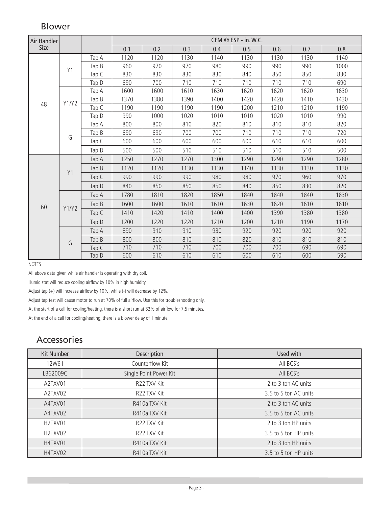# Blower

| Air Handler |       |         | $CFM @ ESP - in.W.C.$ |      |      |      |      |      |      |      |  |
|-------------|-------|---------|-----------------------|------|------|------|------|------|------|------|--|
| Size        |       |         | 0.1                   | 0.2  | 0.3  | 0.4  | 0.5  | 0.6  | 0.7  | 0.8  |  |
|             |       | Tap A   | 1120                  | 1120 | 1130 | 1140 | 1130 | 1130 | 1130 | 1140 |  |
|             | Y1    | Tap $B$ | 960                   | 970  | 970  | 980  | 990  | 990  | 990  | 1000 |  |
|             |       | Tap C   | 830                   | 830  | 830  | 830  | 840  | 850  | 850  | 830  |  |
|             |       | Tap D   | 690                   | 700  | 710  | 710  | 710  | 710  | 710  | 690  |  |
|             |       | Tap A   | 1600                  | 1600 | 1610 | 1630 | 1620 | 1620 | 1620 | 1630 |  |
| 48          | Y1/Y2 | Tap B   | 1370                  | 1380 | 1390 | 1400 | 1420 | 1420 | 1410 | 1430 |  |
|             |       | Tap C   | 1190                  | 1190 | 1190 | 1190 | 1200 | 1210 | 1210 | 1190 |  |
|             |       | Tap D   | 990                   | 1000 | 1020 | 1010 | 1010 | 1020 | 1010 | 990  |  |
|             |       | Tap A   | 800                   | 800  | 810  | 820  | 810  | 810  | 810  | 820  |  |
|             | G     | Tap B   | 690                   | 690  | 700  | 700  | 710  | 710  | 710  | 720  |  |
|             |       | Tap C   | 600                   | 600  | 600  | 600  | 600  | 610  | 610  | 600  |  |
|             |       | Tap D   | 500                   | 500  | 510  | 510  | 510  | 510  | 510  | 500  |  |
|             |       | Tap A   | 1250                  | 1270 | 1270 | 1300 | 1290 | 1290 | 1290 | 1280 |  |
|             | Y1    | Tap B   | 1120                  | 1120 | 1130 | 1130 | 1140 | 1130 | 1130 | 1130 |  |
|             |       | Tap C   | 990                   | 990  | 990  | 980  | 980  | 970  | 960  | 970  |  |
|             |       | Tap D   | 840                   | 850  | 850  | 850  | 840  | 850  | 830  | 820  |  |
|             |       | Tap A   | 1780                  | 1810 | 1820 | 1850 | 1840 | 1840 | 1840 | 1830 |  |
| 60          | Y1/Y2 | Tap B   | 1600                  | 1600 | 1610 | 1610 | 1630 | 1620 | 1610 | 1610 |  |
|             |       | Tap C   | 1410                  | 1420 | 1410 | 1400 | 1400 | 1390 | 1380 | 1380 |  |
|             |       | Tap D   | 1200                  | 1220 | 1220 | 1210 | 1200 | 1210 | 1190 | 1170 |  |
|             |       | Tap A   | 890                   | 910  | 910  | 930  | 920  | 920  | 920  | 920  |  |
|             | G     | Tap B   | 800                   | 800  | 810  | 810  | 820  | 810  | 810  | 810  |  |
|             |       | Tap C   | 710                   | 710  | 710  | 700  | 700  | 700  | 690  | 690  |  |
|             |       | Tap D   | 600                   | 610  | 610  | 610  | 600  | 610  | 600  | 590  |  |

**NOTES** 

All above data given while air handler is operating with dry coil.

Humidistat will reduce cooling airflow by 10% in high humidity.

Adjust tap (+) will increase airflow by 10%, while (-) will decrease by 12%.

Adjust tap test will cause motor to run at 70% of full airflow. Use this for troubleshooting only.

At the start of a call for cooling/heating, there is a short run at 82% of airflow for 7.5 minutes.

At the end of a call for cooling/heating, there is a blower delay of 1 minute.

#### Accessories

| Kit Number | Description            | Used with             |
|------------|------------------------|-----------------------|
| 12W61      | Counterflow Kit        | All BCS's             |
| LB62009C   | Single Point Power Kit | All BCS's             |
| A2TXV01    | R22 TXV Kit            | 2 to 3 ton AC units   |
| A2TXV02    | R22 TXV Kit            | 3.5 to 5 ton AC units |
| A4TXV01    | R410a TXV Kit          | 2 to 3 ton AC units   |
| A4TXV02    | R410a TXV Kit          | 3.5 to 5 ton AC units |
| H2TXV01    | R22 TXV Kit            | 2 to 3 ton HP units   |
| H2TXV02    | R22 TXV Kit            | 3.5 to 5 ton HP units |
| H4TXV01    | R410a TXV Kit          | 2 to 3 ton HP units   |
| H4TXV02    | R410a TXV Kit          | 3.5 to 5 ton HP units |